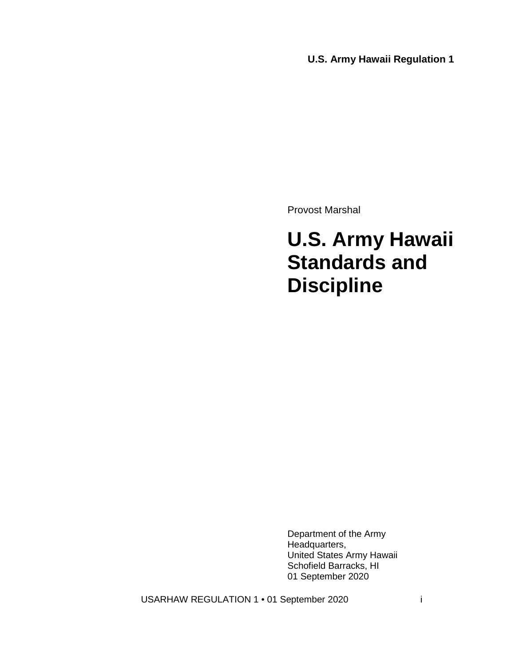**U.S. Army Hawaii Regulation 1**

Provost Marshal

# **U.S. Army Hawaii Standards and Discipline**

Department of the Army Headquarters, United States Army Hawaii Schofield Barracks, HI 01 September 2020

USARHAW REGULATION 1 · 01 September 2020 i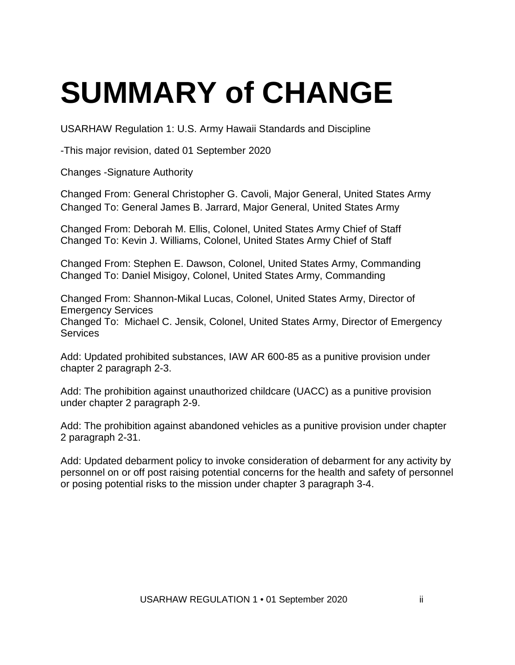# **SUMMARY of CHANGE**

USARHAW Regulation 1: U.S. Army Hawaii Standards and Discipline

-This major revision, dated 01 September 2020

Changes -Signature Authority

Changed From: General Christopher G. Cavoli, Major General, United States Army Changed To: General James B. Jarrard, Major General, United States Army

Changed From: Deborah M. Ellis, Colonel, United States Army Chief of Staff Changed To: Kevin J. Williams, Colonel, United States Army Chief of Staff

Changed From: Stephen E. Dawson, Colonel, United States Army, Commanding Changed To: Daniel Misigoy, Colonel, United States Army, Commanding

Changed From: Shannon-Mikal Lucas, Colonel, United States Army, Director of Emergency Services Changed To: Michael C. Jensik, Colonel, United States Army, Director of Emergency Services

Add: Updated prohibited substances, IAW AR 600-85 as a punitive provision under chapter 2 paragraph 2-3.

Add: The prohibition against unauthorized childcare (UACC) as a punitive provision under chapter 2 paragraph 2-9.

Add: The prohibition against abandoned vehicles as a punitive provision under chapter 2 paragraph 2-31.

Add: Updated debarment policy to invoke consideration of debarment for any activity by personnel on or off post raising potential concerns for the health and safety of personnel or posing potential risks to the mission under chapter 3 paragraph 3-4.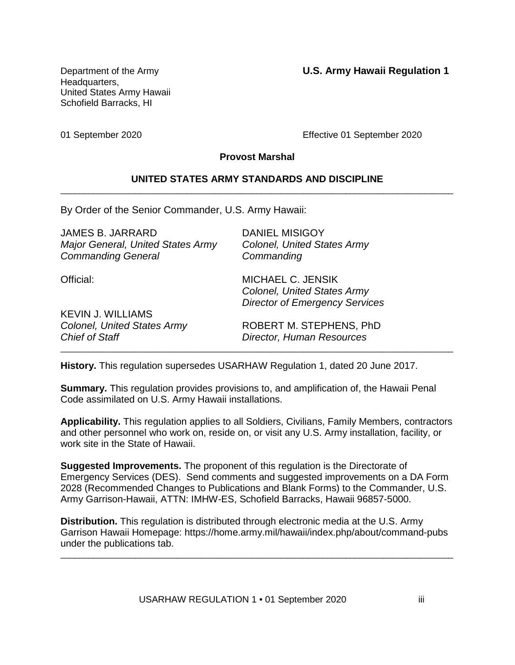Department of the Army **U.S. Army Hawaii Regulation 1**

Headquarters, United States Army Hawaii Schofield Barracks, HI

01 September 2020 Effective 01 September 2020

#### **Provost Marshal**

#### **UNITED STATES ARMY STANDARDS AND DISCIPLINE** \_\_\_\_\_\_\_\_\_\_\_\_\_\_\_\_\_\_\_\_\_\_\_\_\_\_\_\_\_\_\_\_\_\_\_\_\_\_\_\_\_\_\_\_\_\_\_\_\_\_\_\_\_\_\_\_\_\_\_\_\_\_\_\_\_\_\_\_\_\_\_\_\_\_\_\_\_\_\_\_\_\_\_\_

By Order of the Senior Commander, U.S. Army Hawaii:

| <b>DANIEL MISIGOY</b><br><b>Colonel, United States Army</b><br>Commanding                               |
|---------------------------------------------------------------------------------------------------------|
| <b>MICHAEL C. JENSIK</b><br><b>Colonel, United States Army</b><br><b>Director of Emergency Services</b> |
|                                                                                                         |
| ROBERT M. STEPHENS, PhD<br><b>Director, Human Resources</b>                                             |
|                                                                                                         |

**History.** This regulation supersedes USARHAW Regulation 1, dated 20 June 2017.

**Summary.** This regulation provides provisions to, and amplification of, the Hawaii Penal Code assimilated on U.S. Army Hawaii installations.

\_\_\_\_\_\_\_\_\_\_\_\_\_\_\_\_\_\_\_\_\_\_\_\_\_\_\_\_\_\_\_\_\_\_\_\_\_\_\_\_\_\_\_\_\_\_\_\_\_\_\_\_\_\_\_\_\_\_\_\_\_\_\_\_\_\_\_\_\_\_\_\_\_\_\_\_\_\_\_\_\_\_\_\_

**Applicability.** This regulation applies to all Soldiers, Civilians, Family Members, contractors and other personnel who work on, reside on, or visit any U.S. Army installation, facility, or work site in the State of Hawaii.

**Suggested Improvements.** The proponent of this regulation is the Directorate of Emergency Services (DES). Send comments and suggested improvements on a DA Form 2028 (Recommended Changes to Publications and Blank Forms) to the Commander, U.S. Army Garrison-Hawaii, ATTN: IMHW-ES, Schofield Barracks, Hawaii 96857-5000.

**Distribution.** This regulation is distributed through electronic media at the U.S. Army Garrison Hawaii Homepage: https://home.army.mil/hawaii/index.php/about/command-pubs under the publications tab.

\_\_\_\_\_\_\_\_\_\_\_\_\_\_\_\_\_\_\_\_\_\_\_\_\_\_\_\_\_\_\_\_\_\_\_\_\_\_\_\_\_\_\_\_\_\_\_\_\_\_\_\_\_\_\_\_\_\_\_\_\_\_\_\_\_\_\_\_\_\_\_\_\_\_\_\_\_\_\_\_\_\_\_\_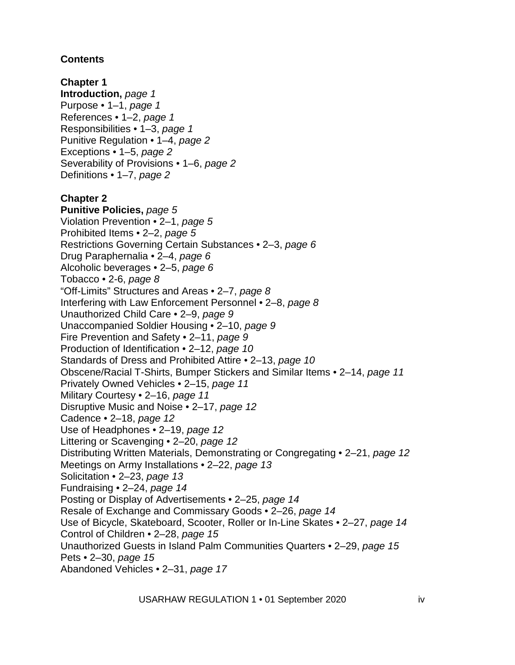# **Contents**

**Chapter 1 Introduction,** *page 1* Purpose • 1–1, *page 1* References • 1–2, *page 1* Responsibilities • 1–3, *page 1* Punitive Regulation • 1–4, *page 2* Exceptions • 1–5, *page 2* Severability of Provisions • 1–6, *page 2* Definitions • 1–7, *page 2* **Chapter 2 Punitive Policies,** *page 5* Violation Prevention • 2–1, *page 5* Prohibited Items • 2–2, *page 5* Restrictions Governing Certain Substances • 2–3, *page 6* Drug Paraphernalia • 2–4, *page 6* Alcoholic beverages • 2–5, *page 6* Tobacco • 2-6, *page 8* "Off-Limits" Structures and Areas • 2–7, *page 8* Interfering with Law Enforcement Personnel • 2–8, *page 8* Unauthorized Child Care • 2–9, *page 9* Unaccompanied Soldier Housing • 2–10, *page 9* Fire Prevention and Safety • 2–11, *page 9* Production of Identification • 2–12, *page 10* Standards of Dress and Prohibited Attire • 2–13, *page 10* Obscene/Racial T-Shirts, Bumper Stickers and Similar Items • 2–14, *page 11* Privately Owned Vehicles • 2–15, *page 11* Military Courtesy • 2–16, *page 11* Disruptive Music and Noise • 2–17, *page 12* Cadence • 2–18, *page 12* Use of Headphones • 2–19, *page 12* Littering or Scavenging • 2–20, *page 12* Distributing Written Materials, Demonstrating or Congregating • 2–21, *page 12* Meetings on Army Installations • 2–22, *page 13* Solicitation • 2–23, *page 13* Fundraising • 2–24, *page 14* Posting or Display of Advertisements • 2–25, *page 14* Resale of Exchange and Commissary Goods • 2–26, *page 14* Use of Bicycle, Skateboard, Scooter, Roller or In-Line Skates • 2–27, *page 14* Control of Children • 2–28, *page 15* Unauthorized Guests in Island Palm Communities Quarters • 2–29, *page 15* Pets • 2–30, *page 15* Abandoned Vehicles • 2–31, *page 17*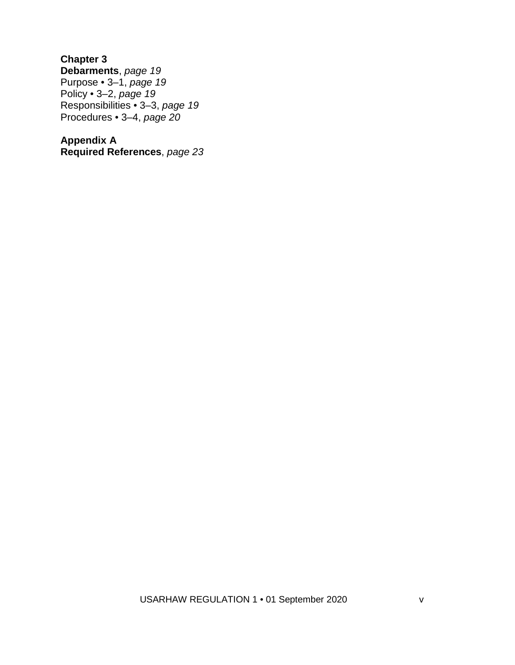**Chapter 3 Debarments**, *page 19* Purpose • 3–1, *page 19* Policy • 3–2, *page 19* Responsibilities • 3–3, *page 19* Procedures • 3–4, *page 20*

**Appendix A Required References**, *page 23*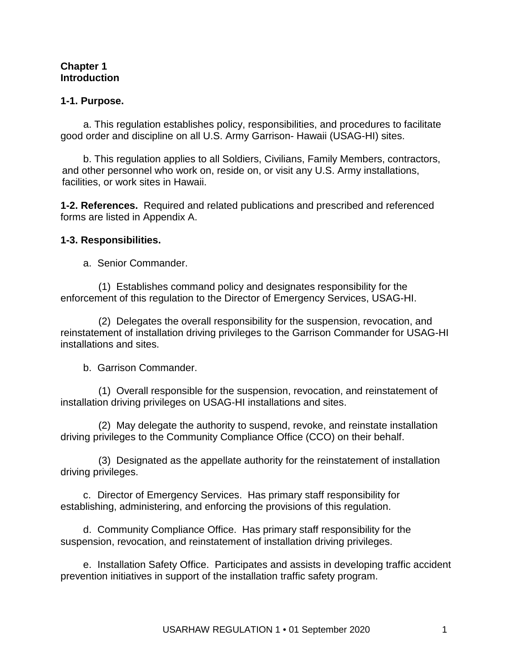#### **Chapter 1 Introduction**

#### **1-1. Purpose.**

a. This regulation establishes policy, responsibilities, and procedures to facilitate good order and discipline on all U.S. Army Garrison- Hawaii (USAG-HI) sites.

b. This regulation applies to all Soldiers, Civilians, Family Members, contractors, and other personnel who work on, reside on, or visit any U.S. Army installations, facilities, or work sites in Hawaii.

**1-2. References.** Required and related publications and prescribed and referenced forms are listed in Appendix A.

#### **1-3. Responsibilities.**

a. Senior Commander.

(1) Establishes command policy and designates responsibility for the enforcement of this regulation to the Director of Emergency Services, USAG-HI.

(2) Delegates the overall responsibility for the suspension, revocation, and reinstatement of installation driving privileges to the Garrison Commander for USAG-HI installations and sites.

b. Garrison Commander.

(1) Overall responsible for the suspension, revocation, and reinstatement of installation driving privileges on USAG-HI installations and sites.

(2) May delegate the authority to suspend, revoke, and reinstate installation driving privileges to the Community Compliance Office (CCO) on their behalf.

(3) Designated as the appellate authority for the reinstatement of installation driving privileges.

c. Director of Emergency Services. Has primary staff responsibility for establishing, administering, and enforcing the provisions of this regulation.

d. Community Compliance Office. Has primary staff responsibility for the suspension, revocation, and reinstatement of installation driving privileges.

e. Installation Safety Office. Participates and assists in developing traffic accident prevention initiatives in support of the installation traffic safety program.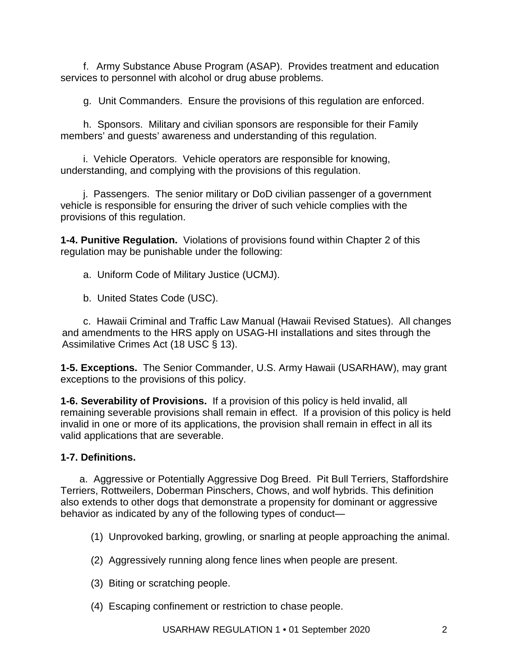f. Army Substance Abuse Program (ASAP). Provides treatment and education services to personnel with alcohol or drug abuse problems.

g. Unit Commanders. Ensure the provisions of this regulation are enforced.

h. Sponsors. Military and civilian sponsors are responsible for their Family members' and guests' awareness and understanding of this regulation.

i. Vehicle Operators. Vehicle operators are responsible for knowing, understanding, and complying with the provisions of this regulation.

j. Passengers. The senior military or DoD civilian passenger of a government vehicle is responsible for ensuring the driver of such vehicle complies with the provisions of this regulation.

**1-4. Punitive Regulation.** Violations of provisions found within Chapter 2 of this regulation may be punishable under the following:

a. Uniform Code of Military Justice (UCMJ).

b. United States Code (USC).

c. Hawaii Criminal and Traffic Law Manual (Hawaii Revised Statues). All changes and amendments to the HRS apply on USAG-HI installations and sites through the Assimilative Crimes Act (18 USC § 13).

**1-5. Exceptions.** The Senior Commander, U.S. Army Hawaii (USARHAW), may grant exceptions to the provisions of this policy.

**1-6. Severability of Provisions.** If a provision of this policy is held invalid, all remaining severable provisions shall remain in effect. If a provision of this policy is held invalid in one or more of its applications, the provision shall remain in effect in all its valid applications that are severable.

# **1-7. Definitions.**

a. Aggressive or Potentially Aggressive Dog Breed. Pit Bull Terriers, Staffordshire Terriers, Rottweilers, Doberman Pinschers, Chows, and wolf hybrids. This definition also extends to other dogs that demonstrate a propensity for dominant or aggressive behavior as indicated by any of the following types of conduct—

(1) Unprovoked barking, growling, or snarling at people approaching the animal.

- (2) Aggressively running along fence lines when people are present.
- (3) Biting or scratching people.
- (4) Escaping confinement or restriction to chase people.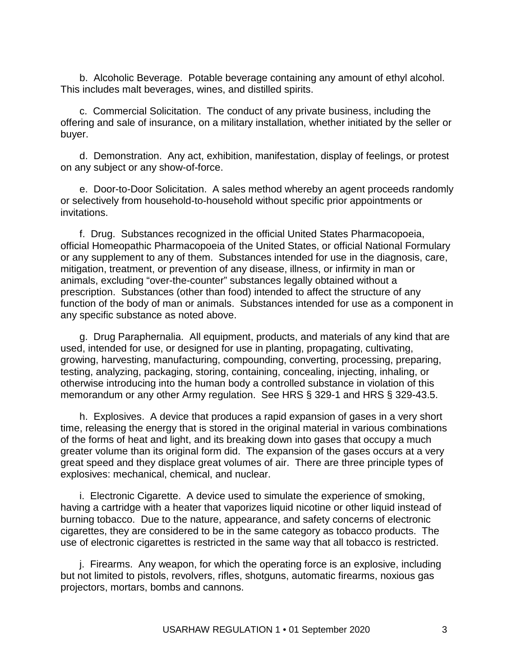b. Alcoholic Beverage. Potable beverage containing any amount of ethyl alcohol. This includes malt beverages, wines, and distilled spirits.

c. Commercial Solicitation. The conduct of any private business, including the offering and sale of insurance, on a military installation, whether initiated by the seller or buyer.

d. Demonstration. Any act, exhibition, manifestation, display of feelings, or protest on any subject or any show-of-force.

e. Door-to-Door Solicitation. A sales method whereby an agent proceeds randomly or selectively from household-to-household without specific prior appointments or invitations.

f. Drug. Substances recognized in the official United States Pharmacopoeia, official Homeopathic Pharmacopoeia of the United States, or official National Formulary or any supplement to any of them. Substances intended for use in the diagnosis, care, mitigation, treatment, or prevention of any disease, illness, or infirmity in man or animals, excluding "over-the-counter" substances legally obtained without a prescription. Substances (other than food) intended to affect the structure of any function of the body of man or animals. Substances intended for use as a component in any specific substance as noted above.

g. Drug Paraphernalia. All equipment, products, and materials of any kind that are used, intended for use, or designed for use in planting, propagating, cultivating, growing, harvesting, manufacturing, compounding, converting, processing, preparing, testing, analyzing, packaging, storing, containing, concealing, injecting, inhaling, or otherwise introducing into the human body a controlled substance in violation of this memorandum or any other Army regulation. See HRS § 329-1 and HRS § 329-43.5.

h. Explosives. A device that produces a rapid expansion of gases in a very short time, releasing the energy that is stored in the original material in various combinations of the forms of heat and light, and its breaking down into gases that occupy a much greater volume than its original form did. The expansion of the gases occurs at a very great speed and they displace great volumes of air. There are three principle types of explosives: mechanical, chemical, and nuclear.

i. Electronic Cigarette. A device used to simulate the experience of smoking, having a cartridge with a heater that vaporizes liquid nicotine or other liquid instead of burning tobacco. Due to the nature, appearance, and safety concerns of electronic cigarettes, they are considered to be in the same category as tobacco products. The use of electronic cigarettes is restricted in the same way that all tobacco is restricted.

j. Firearms. Any weapon, for which the operating force is an explosive, including but not limited to pistols, revolvers, rifles, shotguns, automatic firearms, noxious gas projectors, mortars, bombs and cannons.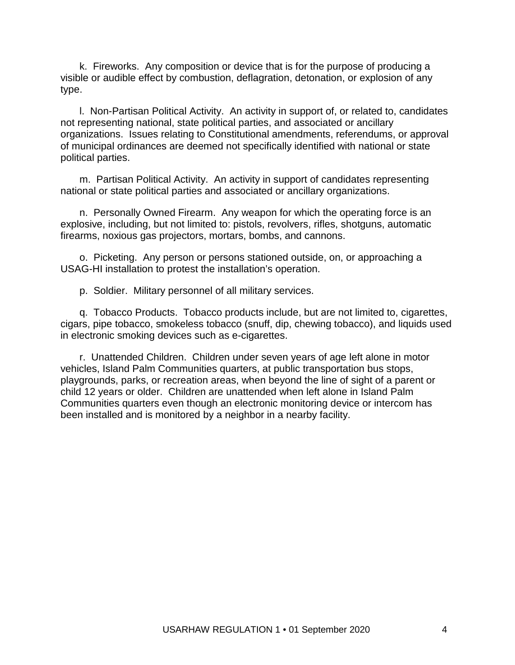k. Fireworks. Any composition or device that is for the purpose of producing a visible or audible effect by combustion, deflagration, detonation, or explosion of any type.

l. Non-Partisan Political Activity. An activity in support of, or related to, candidates not representing national, state political parties, and associated or ancillary organizations. Issues relating to Constitutional amendments, referendums, or approval of municipal ordinances are deemed not specifically identified with national or state political parties.

m. Partisan Political Activity. An activity in support of candidates representing national or state political parties and associated or ancillary organizations.

n. Personally Owned Firearm. Any weapon for which the operating force is an explosive, including, but not limited to: pistols, revolvers, rifles, shotguns, automatic firearms, noxious gas projectors, mortars, bombs, and cannons.

o. Picketing. Any person or persons stationed outside, on, or approaching a USAG-HI installation to protest the installation's operation.

p. Soldier. Military personnel of all military services.

q. Tobacco Products. Tobacco products include, but are not limited to, cigarettes, cigars, pipe tobacco, smokeless tobacco (snuff, dip, chewing tobacco), and liquids used in electronic smoking devices such as e-cigarettes.

r. Unattended Children. Children under seven years of age left alone in motor vehicles, Island Palm Communities quarters, at public transportation bus stops, playgrounds, parks, or recreation areas, when beyond the line of sight of a parent or child 12 years or older. Children are unattended when left alone in Island Palm Communities quarters even though an electronic monitoring device or intercom has been installed and is monitored by a neighbor in a nearby facility.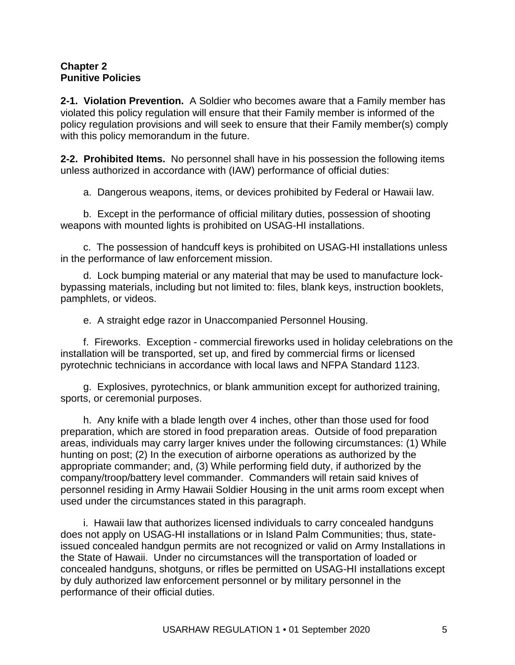#### **Chapter 2 Punitive Policies**

**2-1. Violation Prevention.** A Soldier who becomes aware that a Family member has violated this policy regulation will ensure that their Family member is informed of the policy regulation provisions and will seek to ensure that their Family member(s) comply with this policy memorandum in the future.

**2-2. Prohibited Items.** No personnel shall have in his possession the following items unless authorized in accordance with (IAW) performance of official duties:

a. Dangerous weapons, items, or devices prohibited by Federal or Hawaii law.

b. Except in the performance of official military duties, possession of shooting weapons with mounted lights is prohibited on USAG-HI installations.

c. The possession of handcuff keys is prohibited on USAG-HI installations unless in the performance of law enforcement mission.

d. Lock bumping material or any material that may be used to manufacture lockbypassing materials, including but not limited to: files, blank keys, instruction booklets, pamphlets, or videos.

e. A straight edge razor in Unaccompanied Personnel Housing.

f. Fireworks. Exception - commercial fireworks used in holiday celebrations on the installation will be transported, set up, and fired by commercial firms or licensed pyrotechnic technicians in accordance with local laws and NFPA Standard 1123.

g. Explosives, pyrotechnics, or blank ammunition except for authorized training, sports, or ceremonial purposes.

h. Any knife with a blade length over 4 inches, other than those used for food preparation, which are stored in food preparation areas. Outside of food preparation areas, individuals may carry larger knives under the following circumstances: (1) While hunting on post; (2) In the execution of airborne operations as authorized by the appropriate commander; and, (3) While performing field duty, if authorized by the company/troop/battery level commander. Commanders will retain said knives of personnel residing in Army Hawaii Soldier Housing in the unit arms room except when used under the circumstances stated in this paragraph.

i. Hawaii law that authorizes licensed individuals to carry concealed handguns does not apply on USAG-HI installations or in Island Palm Communities; thus, stateissued concealed handgun permits are not recognized or valid on Army Installations in the State of Hawaii. Under no circumstances will the transportation of loaded or concealed handguns, shotguns, or rifles be permitted on USAG-HI installations except by duly authorized law enforcement personnel or by military personnel in the performance of their official duties.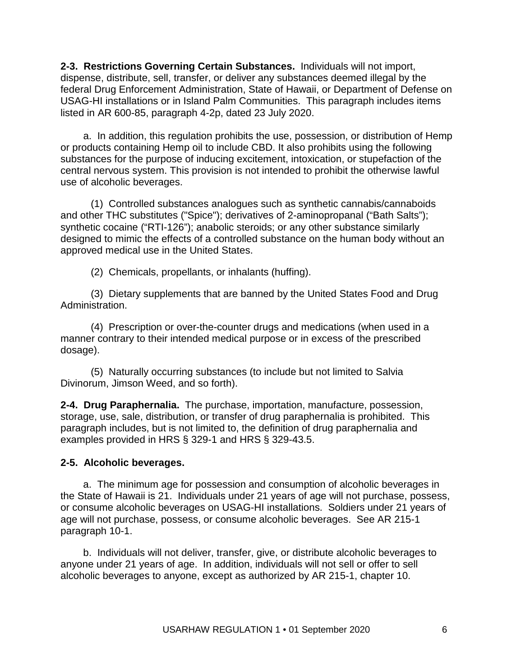**2-3. Restrictions Governing Certain Substances.** Individuals will not import, dispense, distribute, sell, transfer, or deliver any substances deemed illegal by the federal Drug Enforcement Administration, State of Hawaii, or Department of Defense on USAG-HI installations or in Island Palm Communities. This paragraph includes items listed in AR 600-85, paragraph 4-2p, dated 23 July 2020.

a. In addition, this regulation prohibits the use, possession, or distribution of Hemp or products containing Hemp oil to include CBD. It also prohibits using the following substances for the purpose of inducing excitement, intoxication, or stupefaction of the central nervous system. This provision is not intended to prohibit the otherwise lawful use of alcoholic beverages.

(1) Controlled substances analogues such as synthetic cannabis/cannaboids and other THC substitutes ("Spice"); derivatives of 2-aminopropanal ("Bath Salts"); synthetic cocaine ("RTI-126"); anabolic steroids; or any other substance similarly designed to mimic the effects of a controlled substance on the human body without an approved medical use in the United States.

(2) Chemicals, propellants, or inhalants (huffing).

(3) Dietary supplements that are banned by the United States Food and Drug Administration.

(4) Prescription or over-the-counter drugs and medications (when used in a manner contrary to their intended medical purpose or in excess of the prescribed dosage).

(5) Naturally occurring substances (to include but not limited to Salvia Divinorum, Jimson Weed, and so forth).

**2-4. Drug Paraphernalia.** The purchase, importation, manufacture, possession, storage, use, sale, distribution, or transfer of drug paraphernalia is prohibited. This paragraph includes, but is not limited to, the definition of drug paraphernalia and examples provided in HRS § 329-1 and HRS § 329-43.5.

#### **2-5. Alcoholic beverages.**

a. The minimum age for possession and consumption of alcoholic beverages in the State of Hawaii is 21. Individuals under 21 years of age will not purchase, possess, or consume alcoholic beverages on USAG-HI installations. Soldiers under 21 years of age will not purchase, possess, or consume alcoholic beverages. See [AR 215-1](http://www.apd.army.mil/pdffiles/R215_1.pdf) paragraph 10-1.

b. Individuals will not deliver, transfer, give, or distribute alcoholic beverages to anyone under 21 years of age. In addition, individuals will not sell or offer to sell alcoholic beverages to anyone, except as authorized by [AR 215-1,](http://www.apd.army.mil/pdffiles/R215_1.pdf) chapter 10.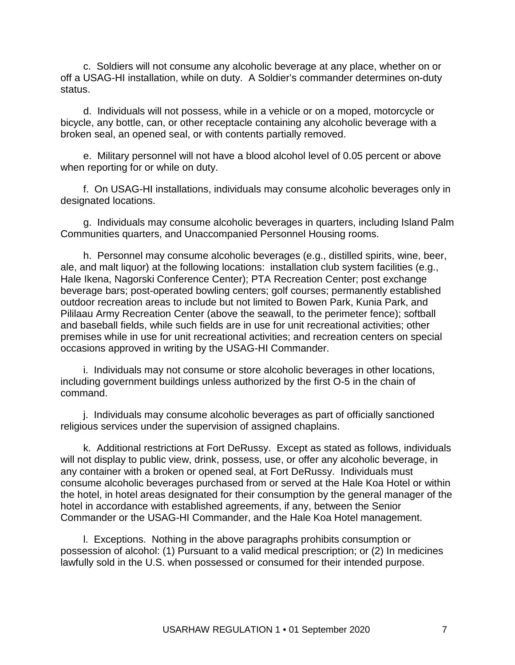c. Soldiers will not consume any alcoholic beverage at any place, whether on or off a USAG-HI installation, while on duty. A Soldier's commander determines on-duty status.

d. Individuals will not possess, while in a vehicle or on a moped, motorcycle or bicycle, any bottle, can, or other receptacle containing any alcoholic beverage with a broken seal, an opened seal, or with contents partially removed.

e. Military personnel will not have a blood alcohol level of 0.05 percent or above when reporting for or while on duty.

f. On USAG-HI installations, individuals may consume alcoholic beverages only in designated locations.

g. Individuals may consume alcoholic beverages in quarters, including Island Palm Communities quarters, and Unaccompanied Personnel Housing rooms.

h. Personnel may consume alcoholic beverages (e.g., distilled spirits, wine, beer, ale, and malt liquor) at the following locations: installation club system facilities (e.g., Hale Ikena, Nagorski Conference Center); PTA Recreation Center; post exchange beverage bars; post-operated bowling centers; golf courses; permanently established outdoor recreation areas to include but not limited to Bowen Park, Kunia Park, and Pililaau Army Recreation Center (above the seawall, to the perimeter fence); softball and baseball fields, while such fields are in use for unit recreational activities; other premises while in use for unit recreational activities; and recreation centers on special occasions approved in writing by the USAG-HI Commander.

i. Individuals may not consume or store alcoholic beverages in other locations, including government buildings unless authorized by the first O-5 in the chain of command.

j. Individuals may consume alcoholic beverages as part of officially sanctioned religious services under the supervision of assigned chaplains.

k. Additional restrictions at Fort DeRussy. Except as stated as follows, individuals will not display to public view, drink, possess, use, or offer any alcoholic beverage, in any container with a broken or opened seal, at Fort DeRussy. Individuals must consume alcoholic beverages purchased from or served at the Hale Koa Hotel or within the hotel, in hotel areas designated for their consumption by the general manager of the hotel in accordance with established agreements, if any, between the Senior Commander or the USAG-HI Commander, and the Hale Koa Hotel management.

l. Exceptions. Nothing in the above paragraphs prohibits consumption or possession of alcohol: (1) Pursuant to a valid medical prescription; or (2) In medicines lawfully sold in the U.S. when possessed or consumed for their intended purpose.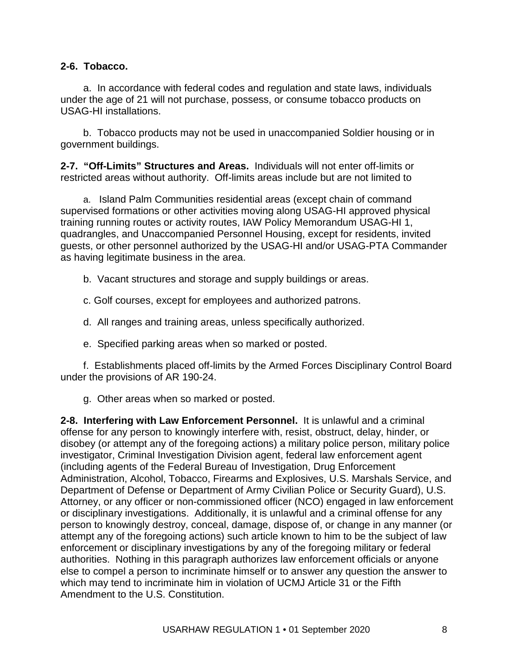#### **2-6. Tobacco.**

a. In accordance with federal codes and regulation and state laws, individuals under the age of 21 will not purchase, possess, or consume tobacco products on USAG-HI installations.

b. Tobacco products may not be used in unaccompanied Soldier housing or in government buildings.

**2-7. "Off-Limits" Structures and Areas.** Individuals will not enter off-limits or restricted areas without authority. Off-limits areas include but are not limited to

a. Island Palm Communities residential areas (except chain of command supervised formations or other activities moving along USAG-HI approved physical training running routes or activity routes, IAW Policy Memorandum USAG-HI 1, quadrangles, and Unaccompanied Personnel Housing, except for residents, invited guests, or other personnel authorized by the USAG-HI and/or USAG-PTA Commander as having legitimate business in the area.

b. Vacant structures and storage and supply buildings or areas.

c. Golf courses, except for employees and authorized patrons.

d. All ranges and training areas, unless specifically authorized.

e. Specified parking areas when so marked or posted.

f. Establishments placed off-limits by the Armed Forces Disciplinary Control Board under the provisions of [AR 190-24.](http://www.apd.army.mil/pdffiles/r190_24.pdf)

g. Other areas when so marked or posted.

**2-8. Interfering with Law Enforcement Personnel.** It is unlawful and a criminal offense for any person to knowingly interfere with, resist, obstruct, delay, hinder, or disobey (or attempt any of the foregoing actions) a military police person, military police investigator, Criminal Investigation Division agent, federal law enforcement agent (including agents of the Federal Bureau of Investigation, Drug Enforcement Administration, Alcohol, Tobacco, Firearms and Explosives, U.S. Marshals Service, and Department of Defense or Department of Army Civilian Police or Security Guard), U.S. Attorney, or any officer or non-commissioned officer (NCO) engaged in law enforcement or disciplinary investigations. Additionally, it is unlawful and a criminal offense for any person to knowingly destroy, conceal, damage, dispose of, or change in any manner (or attempt any of the foregoing actions) such article known to him to be the subject of law enforcement or disciplinary investigations by any of the foregoing military or federal authorities. Nothing in this paragraph authorizes law enforcement officials or anyone else to compel a person to incriminate himself or to answer any question the answer to which may tend to incriminate him in violation of UCMJ Article 31 or the Fifth Amendment to the U.S. Constitution.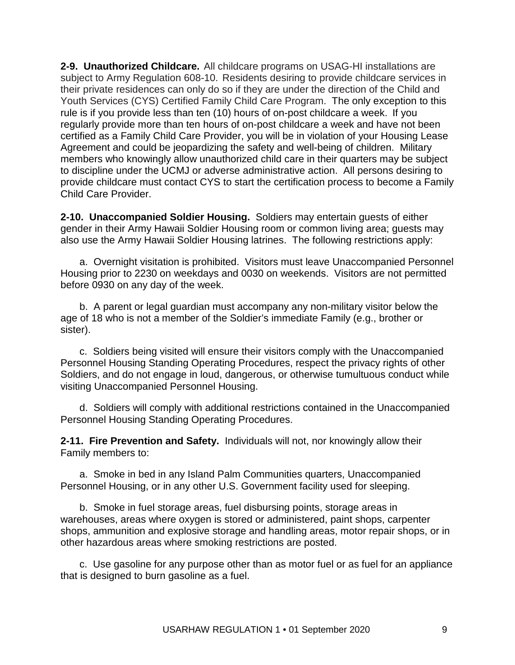**2-9. Unauthorized Childcare.** All childcare programs on USAG-HI installations are subject to Army Regulation 608-10. Residents desiring to provide childcare services in their private residences can only do so if they are under the direction of the Child and Youth Services (CYS) Certified Family Child Care Program. The only exception to this rule is if you provide less than ten (10) hours of on-post childcare a week. If you regularly provide more than ten hours of on-post childcare a week and have not been certified as a Family Child Care Provider, you will be in violation of your Housing Lease Agreement and could be jeopardizing the safety and well-being of children. Military members who knowingly allow unauthorized child care in their quarters may be subject to discipline under the UCMJ or adverse administrative action. All persons desiring to provide childcare must contact CYS to start the certification process to become a Family Child Care Provider.

**2-10. Unaccompanied Soldier Housing.** Soldiers may entertain guests of either gender in their Army Hawaii Soldier Housing room or common living area; guests may also use the Army Hawaii Soldier Housing latrines. The following restrictions apply:

a. Overnight visitation is prohibited. Visitors must leave Unaccompanied Personnel Housing prior to 2230 on weekdays and 0030 on weekends. Visitors are not permitted before 0930 on any day of the week.

b. A parent or legal guardian must accompany any non-military visitor below the age of 18 who is not a member of the Soldier's immediate Family (e.g., brother or sister).

c. Soldiers being visited will ensure their visitors comply with the Unaccompanied Personnel Housing Standing Operating Procedures, respect the privacy rights of other Soldiers, and do not engage in loud, dangerous, or otherwise tumultuous conduct while visiting Unaccompanied Personnel Housing.

d. Soldiers will comply with additional restrictions contained in the Unaccompanied Personnel Housing Standing Operating Procedures.

**2-11. Fire Prevention and Safety.** Individuals will not, nor knowingly allow their Family members to:

a. Smoke in bed in any Island Palm Communities quarters, Unaccompanied Personnel Housing, or in any other U.S. Government facility used for sleeping.

b. Smoke in fuel storage areas, fuel disbursing points, storage areas in warehouses, areas where oxygen is stored or administered, paint shops, carpenter shops, ammunition and explosive storage and handling areas, motor repair shops, or in other hazardous areas where smoking restrictions are posted.

c. Use gasoline for any purpose other than as motor fuel or as fuel for an appliance that is designed to burn gasoline as a fuel.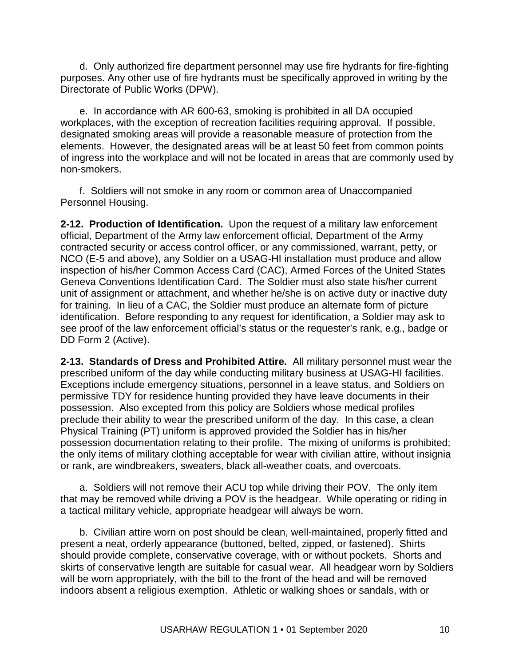d. Only authorized fire department personnel may use fire hydrants for fire-fighting purposes. Any other use of fire hydrants must be specifically approved in writing by the Directorate of Public Works (DPW).

e. In accordance with AR 600-63, smoking is prohibited in all DA occupied workplaces, with the exception of recreation facilities requiring approval. If possible, designated smoking areas will provide a reasonable measure of protection from the elements. However, the designated areas will be at least 50 feet from common points of ingress into the workplace and will not be located in areas that are commonly used by non-smokers.

f. Soldiers will not smoke in any room or common area of Unaccompanied Personnel Housing.

**2-12. Production of Identification.** Upon the request of a military law enforcement official, Department of the Army law enforcement official, Department of the Army contracted security or access control officer, or any commissioned, warrant, petty, or NCO (E-5 and above), any Soldier on a USAG-HI installation must produce and allow inspection of his/her Common Access Card (CAC), Armed Forces of the United States Geneva Conventions Identification Card. The Soldier must also state his/her current unit of assignment or attachment, and whether he/she is on active duty or inactive duty for training. In lieu of a CAC, the Soldier must produce an alternate form of picture identification. Before responding to any request for identification, a Soldier may ask to see proof of the law enforcement official's status or the requester's rank, e.g., badge or DD Form 2 (Active).

**2-13. Standards of Dress and Prohibited Attire.** All military personnel must wear the prescribed uniform of the day while conducting military business at USAG-HI facilities. Exceptions include emergency situations, personnel in a leave status, and Soldiers on permissive TDY for residence hunting provided they have leave documents in their possession. Also excepted from this policy are Soldiers whose medical profiles preclude their ability to wear the prescribed uniform of the day. In this case, a clean Physical Training (PT) uniform is approved provided the Soldier has in his/her possession documentation relating to their profile. The mixing of uniforms is prohibited; the only items of military clothing acceptable for wear with civilian attire, without insignia or rank, are windbreakers, sweaters, black all-weather coats, and overcoats.

a. Soldiers will not remove their ACU top while driving their POV. The only item that may be removed while driving a POV is the headgear. While operating or riding in a tactical military vehicle, appropriate headgear will always be worn.

b. Civilian attire worn on post should be clean, well-maintained, properly fitted and present a neat, orderly appearance (buttoned, belted, zipped, or fastened). Shirts should provide complete, conservative coverage, with or without pockets. Shorts and skirts of conservative length are suitable for casual wear. All headgear worn by Soldiers will be worn appropriately, with the bill to the front of the head and will be removed indoors absent a religious exemption. Athletic or walking shoes or sandals, with or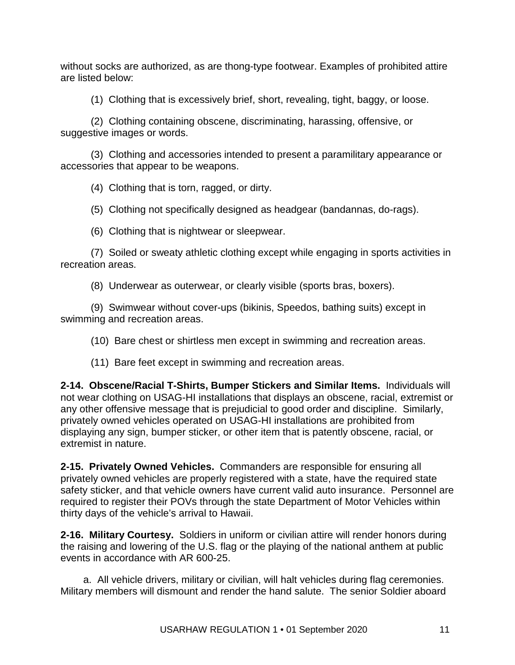without socks are authorized, as are thong-type footwear. Examples of prohibited attire are listed below:

(1) Clothing that is excessively brief, short, revealing, tight, baggy, or loose.

(2) Clothing containing obscene, discriminating, harassing, offensive, or suggestive images or words.

(3) Clothing and accessories intended to present a paramilitary appearance or accessories that appear to be weapons.

(4) Clothing that is torn, ragged, or dirty.

(5) Clothing not specifically designed as headgear (bandannas, do-rags).

(6) Clothing that is nightwear or sleepwear.

(7) Soiled or sweaty athletic clothing except while engaging in sports activities in recreation areas.

(8) Underwear as outerwear, or clearly visible (sports bras, boxers).

(9) Swimwear without cover-ups (bikinis, Speedos, bathing suits) except in swimming and recreation areas.

(10) Bare chest or shirtless men except in swimming and recreation areas.

(11) Bare feet except in swimming and recreation areas.

**2-14. Obscene/Racial T-Shirts, Bumper Stickers and Similar Items.** Individuals will not wear clothing on USAG-HI installations that displays an obscene, racial, extremist or any other offensive message that is prejudicial to good order and discipline. Similarly, privately owned vehicles operated on USAG-HI installations are prohibited from displaying any sign, bumper sticker, or other item that is patently obscene, racial, or extremist in nature.

**2-15. Privately Owned Vehicles.** Commanders are responsible for ensuring all privately owned vehicles are properly registered with a state, have the required state safety sticker, and that vehicle owners have current valid auto insurance. Personnel are required to register their POVs through the state Department of Motor Vehicles within thirty days of the vehicle's arrival to Hawaii.

**2-16. Military Courtesy.** Soldiers in uniform or civilian attire will render honors during the raising and lowering of the U.S. flag or the playing of the national anthem at public events in accordance with [AR 600-25.](http://www.apd.army.mil/pdffiles/r600_25.pdf)

a. All vehicle drivers, military or civilian, will halt vehicles during flag ceremonies. Military members will dismount and render the hand salute. The senior Soldier aboard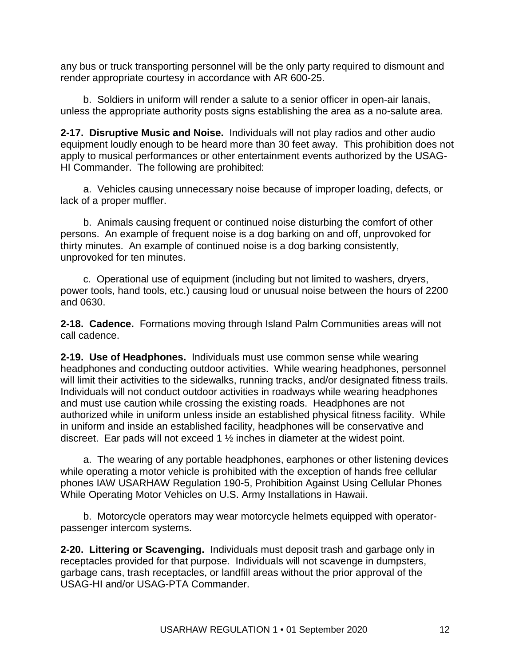any bus or truck transporting personnel will be the only party required to dismount and render appropriate courtesy in accordance with [AR 600-25.](http://www.apd.army.mil/pdffiles/r600_25.pdf)

b. Soldiers in uniform will render a salute to a senior officer in open-air lanais, unless the appropriate authority posts signs establishing the area as a no-salute area.

**2-17. Disruptive Music and Noise.** Individuals will not play radios and other audio equipment loudly enough to be heard more than 30 feet away. This prohibition does not apply to musical performances or other entertainment events authorized by the USAG-HI Commander. The following are prohibited:

a. Vehicles causing unnecessary noise because of improper loading, defects, or lack of a proper muffler.

b. Animals causing frequent or continued noise disturbing the comfort of other persons. An example of frequent noise is a dog barking on and off, unprovoked for thirty minutes. An example of continued noise is a dog barking consistently, unprovoked for ten minutes.

c. Operational use of equipment (including but not limited to washers, dryers, power tools, hand tools, etc.) causing loud or unusual noise between the hours of 2200 and 0630.

**2-18. Cadence.** Formations moving through Island Palm Communities areas will not call cadence.

**2-19. Use of Headphones.** Individuals must use common sense while wearing headphones and conducting outdoor activities. While wearing headphones, personnel will limit their activities to the sidewalks, running tracks, and/or designated fitness trails. Individuals will not conduct outdoor activities in roadways while wearing headphones and must use caution while crossing the existing roads. Headphones are not authorized while in uniform unless inside an established physical fitness facility. While in uniform and inside an established facility, headphones will be conservative and discreet. Ear pads will not exceed 1 ½ inches in diameter at the widest point.

a. The wearing of any portable headphones, earphones or other listening devices while operating a motor vehicle is prohibited with the exception of hands free cellular phones IAW USARHAW Regulation 190-5, Prohibition Against Using Cellular Phones While Operating Motor Vehicles on U.S. Army Installations in Hawaii.

b. Motorcycle operators may wear motorcycle helmets equipped with operatorpassenger intercom systems.

**2-20. Littering or Scavenging.** Individuals must deposit trash and garbage only in receptacles provided for that purpose. Individuals will not scavenge in dumpsters, garbage cans, trash receptacles, or landfill areas without the prior approval of the USAG-HI and/or USAG-PTA Commander.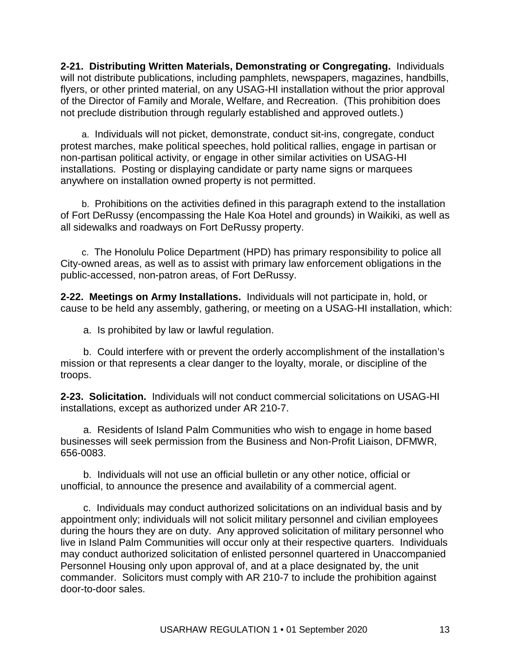**2-21. Distributing Written Materials, Demonstrating or Congregating.** Individuals will not distribute publications, including pamphlets, newspapers, magazines, handbills, flyers, or other printed material, on any USAG-HI installation without the prior approval of the Director of Family and Morale, Welfare, and Recreation. (This prohibition does not preclude distribution through regularly established and approved outlets.)

a. Individuals will not picket, demonstrate, conduct sit-ins, congregate, conduct protest marches, make political speeches, hold political rallies, engage in partisan or non-partisan political activity, or engage in other similar activities on USAG-HI installations. Posting or displaying candidate or party name signs or marquees anywhere on installation owned property is not permitted.

b. Prohibitions on the activities defined in this paragraph extend to the installation of Fort DeRussy (encompassing the Hale Koa Hotel and grounds) in Waikiki, as well as all sidewalks and roadways on Fort DeRussy property.

c. The Honolulu Police Department (HPD) has primary responsibility to police all City-owned areas, as well as to assist with primary law enforcement obligations in the public-accessed, non-patron areas, of Fort DeRussy.

**2-22. Meetings on Army Installations.** Individuals will not participate in, hold, or cause to be held any assembly, gathering, or meeting on a USAG-HI installation, which:

a. Is prohibited by law or lawful regulation.

b. Could interfere with or prevent the orderly accomplishment of the installation's mission or that represents a clear danger to the loyalty, morale, or discipline of the troops.

**2-23. Solicitation.** Individuals will not conduct commercial solicitations on USAG-HI installations, except as authorized under [AR 210-7.](http://www.apd.army.mil/pdffiles/r210_7.pdf)

a. Residents of Island Palm Communities who wish to engage in home based businesses will seek permission from the Business and Non-Profit Liaison, DFMWR, 656-0083.

b. Individuals will not use an official bulletin or any other notice, official or unofficial, to announce the presence and availability of a commercial agent.

c. Individuals may conduct authorized solicitations on an individual basis and by appointment only; individuals will not solicit military personnel and civilian employees during the hours they are on duty. Any approved solicitation of military personnel who live in Island Palm Communities will occur only at their respective quarters. Individuals may conduct authorized solicitation of enlisted personnel quartered in Unaccompanied Personnel Housing only upon approval of, and at a place designated by, the unit commander. Solicitors must comply with [AR 210-7](http://www.apd.army.mil/pdffiles/r210_7.pdf) to include the prohibition against door-to-door sales.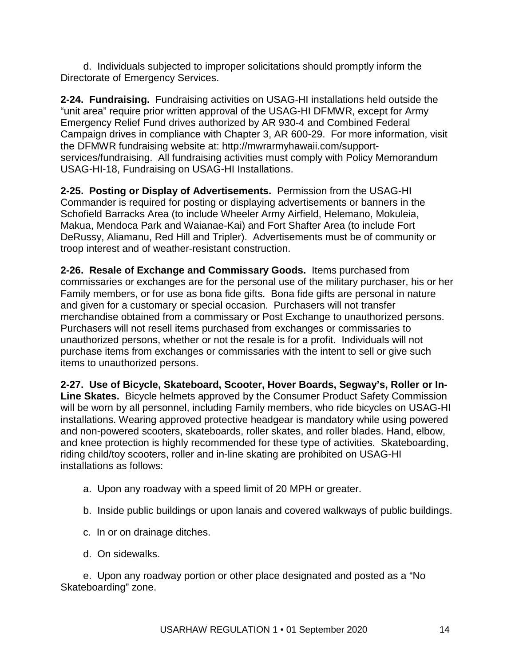d. Individuals subjected to improper solicitations should promptly inform the Directorate of Emergency Services.

**2-24. Fundraising.** Fundraising activities on USAG-HI installations held outside the "unit area" require prior written approval of the USAG-HI DFMWR, except for Army Emergency Relief Fund drives authorized by [AR 930-4](http://www.apd.army.mil/pdffiles/r930_4.pdf) and Combined Federal Campaign drives in compliance with Chapter 3, [AR 600-29.](http://www.apd.army.mil/pdffiles/r600_29.pdf) For more information, visit the DFMWR fundraising website at: [http://mwrarmyhawaii.com/support](http://mwrarmyhawaii.com/support-services/fundraising)[services/fundraising.](http://mwrarmyhawaii.com/support-services/fundraising) All fundraising activities must comply with Policy Memorandum USAG-HI-18, Fundraising on USAG-HI Installations.

**2-25. Posting or Display of Advertisements.** Permission from the USAG-HI Commander is required for posting or displaying advertisements or banners in the Schofield Barracks Area (to include Wheeler Army Airfield, Helemano, Mokuleia, Makua, Mendoca Park and Waianae-Kai) and Fort Shafter Area (to include Fort DeRussy, Aliamanu, Red Hill and Tripler). Advertisements must be of community or troop interest and of weather-resistant construction.

**2-26. Resale of Exchange and Commissary Goods.** Items purchased from commissaries or exchanges are for the personal use of the military purchaser, his or her Family members, or for use as bona fide gifts. Bona fide gifts are personal in nature and given for a customary or special occasion. Purchasers will not transfer merchandise obtained from a commissary or Post Exchange to unauthorized persons. Purchasers will not resell items purchased from exchanges or commissaries to unauthorized persons, whether or not the resale is for a profit. Individuals will not purchase items from exchanges or commissaries with the intent to sell or give such items to unauthorized persons.

**2-27. Use of Bicycle, Skateboard, Scooter, Hover Boards, Segway's, Roller or In-Line Skates.** Bicycle helmets approved by the Consumer Product Safety Commission will be worn by all personnel, including Family members, who ride bicycles on USAG-HI installations. Wearing approved protective headgear is mandatory while using powered and non-powered scooters, skateboards, roller skates, and roller blades. Hand, elbow, and knee protection is highly recommended for these type of activities. Skateboarding, riding child/toy scooters, roller and in-line skating are prohibited on USAG-HI installations as follows:

- a. Upon any roadway with a speed limit of 20 MPH or greater.
- b. Inside public buildings or upon lanais and covered walkways of public buildings.
- c. In or on drainage ditches.
- d. On sidewalks.

e. Upon any roadway portion or other place designated and posted as a "No Skateboarding" zone.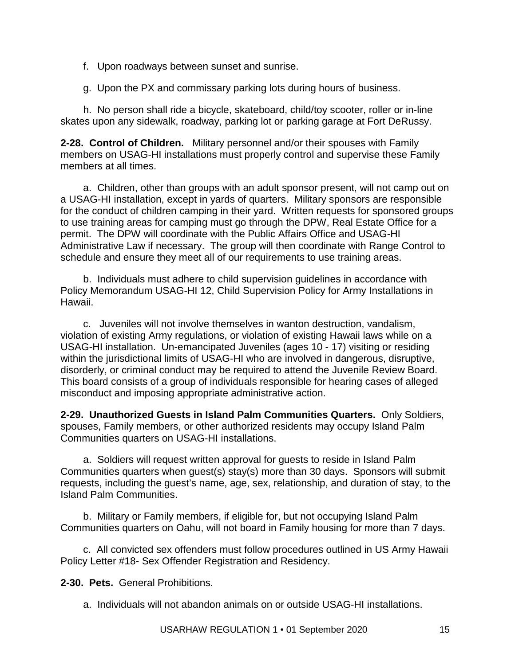- f. Upon roadways between sunset and sunrise.
- g. Upon the PX and commissary parking lots during hours of business.

h. No person shall ride a bicycle, skateboard, child/toy scooter, roller or in-line skates upon any sidewalk, roadway, parking lot or parking garage at Fort DeRussy.

**2-28. Control of Children.** Military personnel and/or their spouses with Family members on USAG-HI installations must properly control and supervise these Family members at all times.

a. Children, other than groups with an adult sponsor present, will not camp out on a USAG-HI installation, except in yards of quarters. Military sponsors are responsible for the conduct of children camping in their yard. Written requests for sponsored groups to use training areas for camping must go through the DPW, Real Estate Office for a permit. The DPW will coordinate with the Public Affairs Office and USAG-HI Administrative Law if necessary. The group will then coordinate with Range Control to schedule and ensure they meet all of our requirements to use training areas.

b. Individuals must adhere to child supervision guidelines in accordance with Policy Memorandum USAG-HI 12, Child Supervision Policy for Army Installations in Hawaii.

c. Juveniles will not involve themselves in wanton destruction, vandalism, violation of existing Army regulations, or violation of existing Hawaii laws while on a USAG-HI installation. Un-emancipated Juveniles (ages 10 - 17) visiting or residing within the jurisdictional limits of USAG-HI who are involved in dangerous, disruptive, disorderly, or criminal conduct may be required to attend the Juvenile Review Board. This board consists of a group of individuals responsible for hearing cases of alleged misconduct and imposing appropriate administrative action.

**2-29. Unauthorized Guests in Island Palm Communities Quarters.** Only Soldiers, spouses, Family members, or other authorized residents may occupy Island Palm Communities quarters on USAG-HI installations.

a. Soldiers will request written approval for guests to reside in Island Palm Communities quarters when guest(s) stay(s) more than 30 days. Sponsors will submit requests, including the guest's name, age, sex, relationship, and duration of stay, to the Island Palm Communities.

b. Military or Family members, if eligible for, but not occupying Island Palm Communities quarters on Oahu, will not board in Family housing for more than 7 days.

c. All convicted sex offenders must follow procedures outlined in US Army Hawaii Policy Letter #18- Sex Offender Registration and Residency.

**2-30. Pets.** General Prohibitions.

a. Individuals will not abandon animals on or outside USAG-HI installations.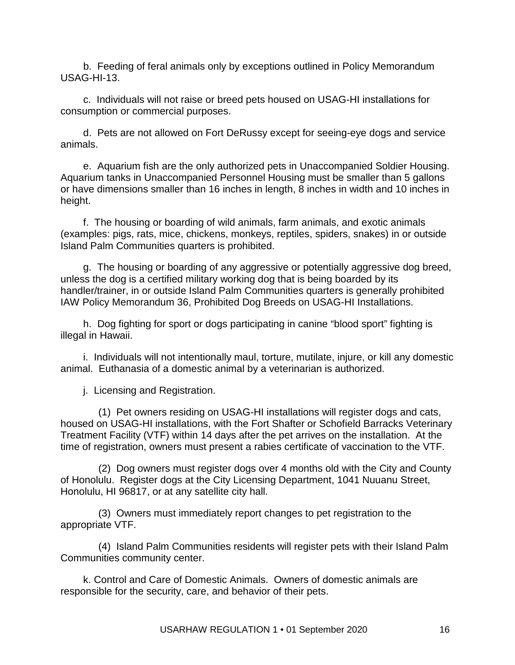b. Feeding of feral animals only by exceptions outlined in Policy Memorandum USAG-HI-13.

c. Individuals will not raise or breed pets housed on USAG-HI installations for consumption or commercial purposes.

d. Pets are not allowed on Fort DeRussy except for seeing-eye dogs and service animals.

e. Aquarium fish are the only authorized pets in Unaccompanied Soldier Housing. Aquarium tanks in Unaccompanied Personnel Housing must be smaller than 5 gallons or have dimensions smaller than 16 inches in length, 8 inches in width and 10 inches in height.

f. The housing or boarding of wild animals, farm animals, and exotic animals (examples: pigs, rats, mice, chickens, monkeys, reptiles, spiders, snakes) in or outside Island Palm Communities quarters is prohibited.

g. The housing or boarding of any aggressive or potentially aggressive dog breed, unless the dog is a certified military working dog that is being boarded by its handler/trainer, in or outside Island Palm Communities quarters is generally prohibited IAW Policy Memorandum [36,](http://www.garrison.hawaii.army.mil/sites/policies/USAG-HI-35%20Army%20Installation%20Microchip%20Program.pdf) Prohibited Dog Breeds on USAG-HI Installations.

h. Dog fighting for sport or dogs participating in canine "blood sport" fighting is illegal in Hawaii.

i. Individuals will not intentionally maul, torture, mutilate, injure, or kill any domestic animal. Euthanasia of a domestic animal by a veterinarian is authorized.

j. Licensing and Registration.

(1) Pet owners residing on USAG-HI installations will register dogs and cats, housed on USAG-HI installations, with the Fort Shafter or Schofield Barracks Veterinary Treatment Facility (VTF) within 14 days after the pet arrives on the installation. At the time of registration, owners must present a rabies certificate of vaccination to the VTF.

(2) Dog owners must register dogs over 4 months old with the City and County of Honolulu. Register dogs at the City Licensing Department, 1041 Nuuanu Street, Honolulu, HI 96817, or at any satellite city hall.

(3) Owners must immediately report changes to pet registration to the appropriate VTF.

(4) Island Palm Communities residents will register pets with their Island Palm Communities community center.

k. Control and Care of Domestic Animals. Owners of domestic animals are responsible for the security, care, and behavior of their pets.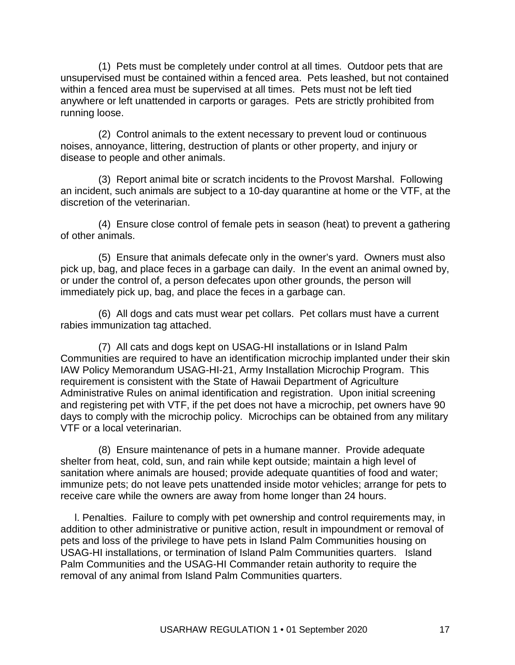(1) Pets must be completely under control at all times. Outdoor pets that are unsupervised must be contained within a fenced area. Pets leashed, but not contained within a fenced area must be supervised at all times. Pets must not be left tied anywhere or left unattended in carports or garages. Pets are strictly prohibited from running loose.

(2) Control animals to the extent necessary to prevent loud or continuous noises, annoyance, littering, destruction of plants or other property, and injury or disease to people and other animals.

(3) Report animal bite or scratch incidents to the Provost Marshal. Following an incident, such animals are subject to a 10-day quarantine at home or the VTF, at the discretion of the veterinarian.

(4) Ensure close control of female pets in season (heat) to prevent a gathering of other animals.

(5) Ensure that animals defecate only in the owner's yard. Owners must also pick up, bag, and place feces in a garbage can daily. In the event an animal owned by, or under the control of, a person defecates upon other grounds, the person will immediately pick up, bag, and place the feces in a garbage can.

(6) All dogs and cats must wear pet collars. Pet collars must have a current rabies immunization tag attached.

(7) All cats and dogs kept on USAG-HI installations or in Island Palm Communities are required to have an identification microchip implanted under their skin IAW Policy Memorandum USAG-HI-21, Army Installation Microchip Program. This requirement is consistent with the State of Hawaii Department of Agriculture Administrative Rules on animal identification and registration. Upon initial screening and registering pet with VTF, if the pet does not have a microchip, pet owners have 90 days to comply with the microchip policy. Microchips can be obtained from any military VTF or a local veterinarian.

(8) Ensure maintenance of pets in a humane manner. Provide adequate shelter from heat, cold, sun, and rain while kept outside; maintain a high level of sanitation where animals are housed; provide adequate quantities of food and water; immunize pets; do not leave pets unattended inside motor vehicles; arrange for pets to receive care while the owners are away from home longer than 24 hours.

 l. Penalties. Failure to comply with pet ownership and control requirements may, in addition to other administrative or punitive action, result in impoundment or removal of pets and loss of the privilege to have pets in Island Palm Communities housing on USAG-HI installations, or termination of Island Palm Communities quarters. Island Palm Communities and the USAG-HI Commander retain authority to require the removal of any animal from Island Palm Communities quarters.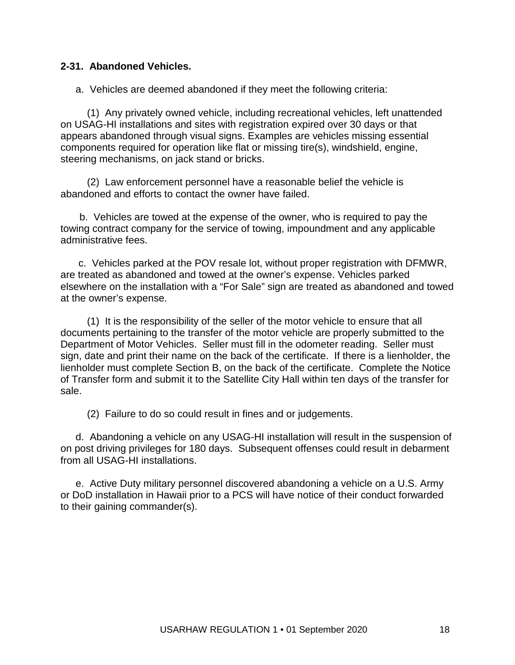#### **2-31. Abandoned Vehicles.**

a. Vehicles are deemed abandoned if they meet the following criteria:

(1) Any privately owned vehicle, including recreational vehicles, left unattended on USAG-HI installations and sites with registration expired over 30 days or that appears abandoned through visual signs. Examples are vehicles missing essential components required for operation like flat or missing tire(s), windshield, engine, steering mechanisms, on jack stand or bricks.

(2) Law enforcement personnel have a reasonable belief the vehicle is abandoned and efforts to contact the owner have failed.

b. Vehicles are towed at the expense of the owner, who is required to pay the towing contract company for the service of towing, impoundment and any applicable administrative fees.

c. Vehicles parked at the POV resale lot, without proper registration with DFMWR, are treated as abandoned and towed at the owner's expense. Vehicles parked elsewhere on the installation with a "For Sale" sign are treated as abandoned and towed at the owner's expense.

(1) It is the responsibility of the seller of the motor vehicle to ensure that all documents pertaining to the transfer of the motor vehicle are properly submitted to the Department of Motor Vehicles. Seller must fill in the odometer reading. Seller must sign, date and print their name on the back of the certificate. If there is a lienholder, the lienholder must complete Section B, on the back of the certificate. Complete the Notice of Transfer form and submit it to the Satellite City Hall within ten days of the transfer for sale.

(2) Failure to do so could result in fines and or judgements.

d. Abandoning a vehicle on any USAG-HI installation will result in the suspension of on post driving privileges for 180 days. Subsequent offenses could result in debarment from all USAG-HI installations.

e. Active Duty military personnel discovered abandoning a vehicle on a U.S. Army or DoD installation in Hawaii prior to a PCS will have notice of their conduct forwarded to their gaining commander(s).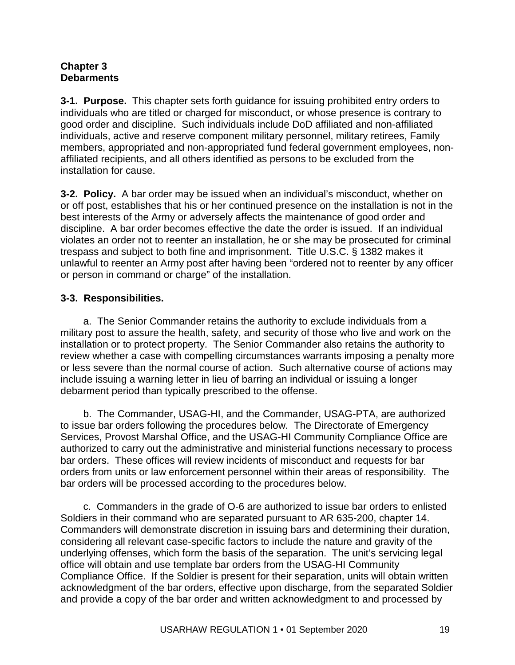#### **Chapter 3 Debarments**

**3-1. Purpose.** This chapter sets forth guidance for issuing prohibited entry orders to individuals who are titled or charged for misconduct, or whose presence is contrary to good order and discipline. Such individuals include DoD affiliated and non-affiliated individuals, active and reserve component military personnel, military retirees, Family members, appropriated and non-appropriated fund federal government employees, nonaffiliated recipients, and all others identified as persons to be excluded from the installation for cause.

**3-2. Policy.** A bar order may be issued when an individual's misconduct, whether on or off post, establishes that his or her continued presence on the installation is not in the best interests of the Army or adversely affects the maintenance of good order and discipline. A bar order becomes effective the date the order is issued. If an individual violates an order not to reenter an installation, he or she may be prosecuted for criminal trespass and subject to both fine and imprisonment. Title U.S.C. § 1382 makes it unlawful to reenter an Army post after having been "ordered not to reenter by any officer or person in command or charge" of the installation.

# **3-3. Responsibilities.**

a. The Senior Commander retains the authority to exclude individuals from a military post to assure the health, safety, and security of those who live and work on the installation or to protect property. The Senior Commander also retains the authority to review whether a case with compelling circumstances warrants imposing a penalty more or less severe than the normal course of action. Such alternative course of actions may include issuing a warning letter in lieu of barring an individual or issuing a longer debarment period than typically prescribed to the offense.

b. The Commander, USAG-HI, and the Commander, USAG-PTA, are authorized to issue bar orders following the procedures below. The Directorate of Emergency Services, Provost Marshal Office, and the USAG-HI Community Compliance Office are authorized to carry out the administrative and ministerial functions necessary to process bar orders. These offices will review incidents of misconduct and requests for bar orders from units or law enforcement personnel within their areas of responsibility. The bar orders will be processed according to the procedures below.

c. Commanders in the grade of O-6 are authorized to issue bar orders to enlisted Soldiers in their command who are separated pursuant to AR 635-200, chapter 14. Commanders will demonstrate discretion in issuing bars and determining their duration, considering all relevant case-specific factors to include the nature and gravity of the underlying offenses, which form the basis of the separation. The unit's servicing legal office will obtain and use template bar orders from the USAG-HI Community Compliance Office. If the Soldier is present for their separation, units will obtain written acknowledgment of the bar orders, effective upon discharge, from the separated Soldier and provide a copy of the bar order and written acknowledgment to and processed by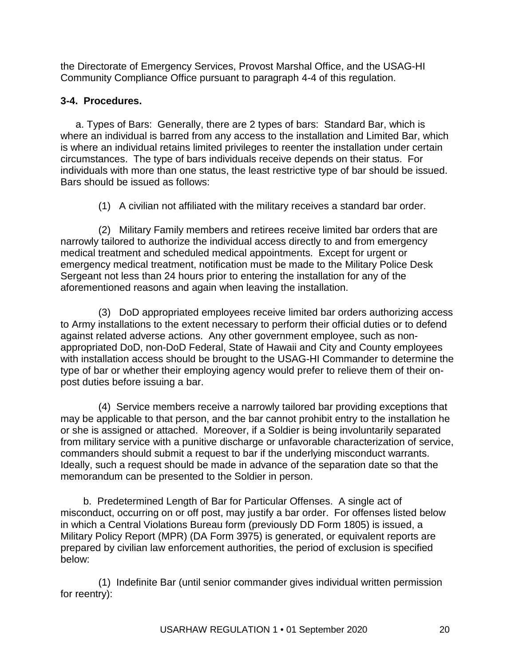the Directorate of Emergency Services, Provost Marshal Office, and the USAG-HI Community Compliance Office pursuant to paragraph 4-4 of this regulation.

# **3-4. Procedures.**

a. Types of Bars: Generally, there are 2 types of bars: Standard Bar, which is where an individual is barred from any access to the installation and Limited Bar, which is where an individual retains limited privileges to reenter the installation under certain circumstances. The type of bars individuals receive depends on their status. For individuals with more than one status, the least restrictive type of bar should be issued. Bars should be issued as follows:

(1) A civilian not affiliated with the military receives a standard bar order.

(2) Military Family members and retirees receive limited bar orders that are narrowly tailored to authorize the individual access directly to and from emergency medical treatment and scheduled medical appointments. Except for urgent or emergency medical treatment, notification must be made to the Military Police Desk Sergeant not less than 24 hours prior to entering the installation for any of the aforementioned reasons and again when leaving the installation.

(3) DoD appropriated employees receive limited bar orders authorizing access to Army installations to the extent necessary to perform their official duties or to defend against related adverse actions. Any other government employee, such as nonappropriated DoD, non-DoD Federal, State of Hawaii and City and County employees with installation access should be brought to the USAG-HI Commander to determine the type of bar or whether their employing agency would prefer to relieve them of their onpost duties before issuing a bar.

(4) Service members receive a narrowly tailored bar providing exceptions that may be applicable to that person, and the bar cannot prohibit entry to the installation he or she is assigned or attached. Moreover, if a Soldier is being involuntarily separated from military service with a punitive discharge or unfavorable characterization of service, commanders should submit a request to bar if the underlying misconduct warrants. Ideally, such a request should be made in advance of the separation date so that the memorandum can be presented to the Soldier in person.

b. Predetermined Length of Bar for Particular Offenses. A single act of misconduct, occurring on or off post, may justify a bar order. For offenses listed below in which a Central Violations Bureau form (previously DD Form 1805) is issued, a Military Policy Report (MPR) (DA Form 3975) is generated, or equivalent reports are prepared by civilian law enforcement authorities, the period of exclusion is specified below:

(1) Indefinite Bar (until senior commander gives individual written permission for reentry):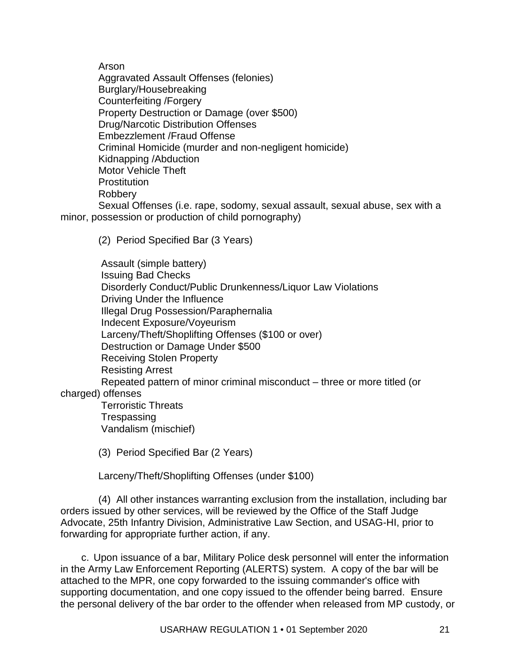Arson

Aggravated Assault Offenses (felonies) Burglary/Housebreaking Counterfeiting /Forgery Property Destruction or Damage (over \$500) Drug/Narcotic Distribution Offenses Embezzlement /Fraud Offense Criminal Homicide (murder and non-negligent homicide) Kidnapping /Abduction Motor Vehicle Theft **Prostitution** Robbery Sexual Offenses (i.e. rape, sodomy, sexual assault, sexual abuse, sex with a

minor, possession or production of child pornography)

(2) Period Specified Bar (3 Years)

Assault (simple battery) Issuing Bad Checks Disorderly Conduct/Public Drunkenness/Liquor Law Violations Driving Under the Influence Illegal Drug Possession/Paraphernalia Indecent Exposure/Voyeurism Larceny/Theft/Shoplifting Offenses (\$100 or over) Destruction or Damage Under \$500 Receiving Stolen Property Resisting Arrest Repeated pattern of minor criminal misconduct – three or more titled (or charged) offenses Terroristic Threats **Trespassing** Vandalism (mischief)

(3) Period Specified Bar (2 Years)

Larceny/Theft/Shoplifting Offenses (under \$100)

(4) All other instances warranting exclusion from the installation, including bar orders issued by other services, will be reviewed by the Office of the Staff Judge Advocate, 25th Infantry Division, Administrative Law Section, and USAG-HI, prior to forwarding for appropriate further action, if any.

c. Upon issuance of a bar, Military Police desk personnel will enter the information in the Army Law Enforcement Reporting (ALERTS) system. A copy of the bar will be attached to the MPR, one copy forwarded to the issuing commander's office with supporting documentation, and one copy issued to the offender being barred. Ensure the personal delivery of the bar order to the offender when released from MP custody, or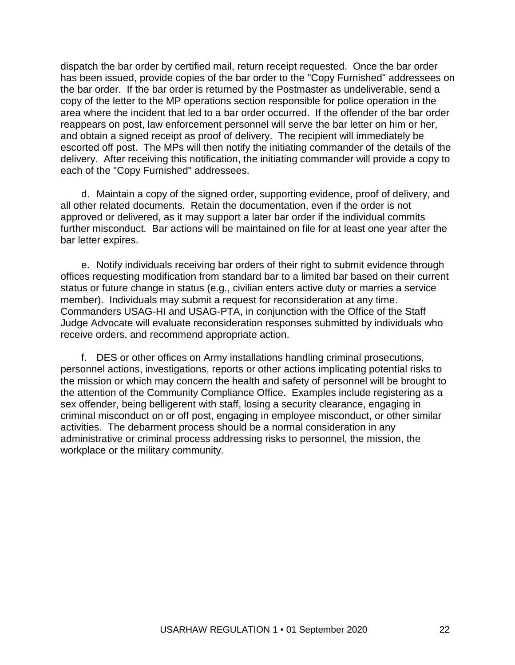dispatch the bar order by certified mail, return receipt requested. Once the bar order has been issued, provide copies of the bar order to the "Copy Furnished" addressees on the bar order. If the bar order is returned by the Postmaster as undeliverable, send a copy of the letter to the MP operations section responsible for police operation in the area where the incident that led to a bar order occurred. If the offender of the bar order reappears on post, law enforcement personnel will serve the bar letter on him or her, and obtain a signed receipt as proof of delivery. The recipient will immediately be escorted off post. The MPs will then notify the initiating commander of the details of the delivery. After receiving this notification, the initiating commander will provide a copy to each of the "Copy Furnished" addressees.

d. Maintain a copy of the signed order, supporting evidence, proof of delivery, and all other related documents. Retain the documentation, even if the order is not approved or delivered, as it may support a later bar order if the individual commits further misconduct. Bar actions will be maintained on file for at least one year after the bar letter expires.

e. Notify individuals receiving bar orders of their right to submit evidence through offices requesting modification from standard bar to a limited bar based on their current status or future change in status (e.g., civilian enters active duty or marries a service member). Individuals may submit a request for reconsideration at any time. Commanders USAG-HI and USAG-PTA, in conjunction with the Office of the Staff Judge Advocate will evaluate reconsideration responses submitted by individuals who receive orders, and recommend appropriate action.

f. DES or other offices on Army installations handling criminal prosecutions, personnel actions, investigations, reports or other actions implicating potential risks to the mission or which may concern the health and safety of personnel will be brought to the attention of the Community Compliance Office. Examples include registering as a sex offender, being belligerent with staff, losing a security clearance, engaging in criminal misconduct on or off post, engaging in employee misconduct, or other similar activities. The debarment process should be a normal consideration in any administrative or criminal process addressing risks to personnel, the mission, the workplace or the military community.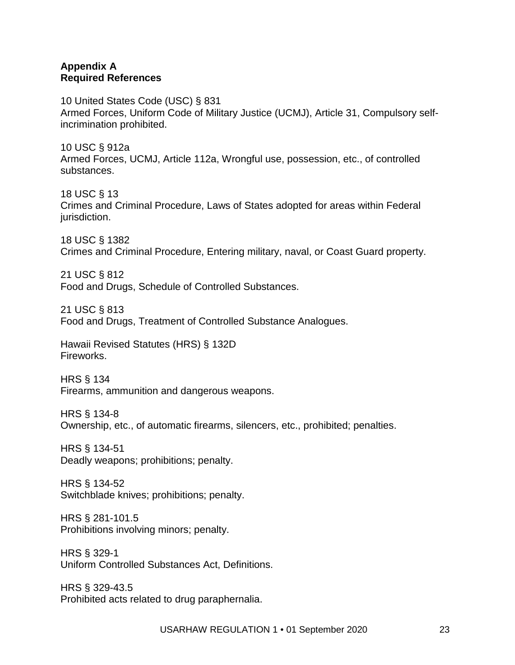#### **Appendix A Required References**

10 United States Code (USC) § 831 Armed Forces, Uniform Code of Military Justice (UCMJ), Article 31, Compulsory selfincrimination prohibited.

10 USC § 912a Armed Forces, UCMJ, Article 112a, Wrongful use, possession, etc., of controlled substances.

18 USC § 13 Crimes and Criminal Procedure, Laws of States adopted for areas within Federal jurisdiction.

18 USC § 1382 Crimes and Criminal Procedure, Entering military, naval, or Coast Guard property.

21 USC § 812 Food and Drugs, Schedule of Controlled Substances.

21 USC § 813 Food and Drugs, Treatment of Controlled Substance Analogues.

Hawaii Revised Statutes (HRS) § 132D Fireworks.

HRS § 134 Firearms, ammunition and dangerous weapons.

HRS § 134-8 Ownership, etc., of automatic firearms, silencers, etc., prohibited; penalties.

HRS § 134-51 Deadly weapons; prohibitions; penalty.

HRS § 134-52 Switchblade knives; prohibitions; penalty.

HRS § 281-101.5 Prohibitions involving minors; penalty.

HRS § 329-1 Uniform Controlled Substances Act, Definitions.

HRS § 329-43.5 Prohibited acts related to drug paraphernalia.